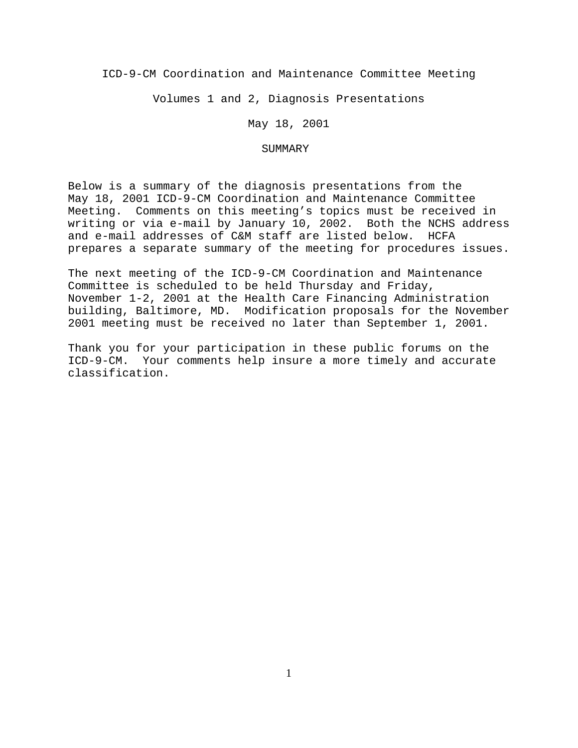ICD-9-CM Coordination and Maintenance Committee Meeting

Volumes 1 and 2, Diagnosis Presentations

May 18, 2001

### SUMMARY

Below is a summary of the diagnosis presentations from the May 18, 2001 ICD-9-CM Coordination and Maintenance Committee Meeting. Comments on this meeting's topics must be received in writing or via e-mail by January 10, 2002. Both the NCHS address and e-mail addresses of C&M staff are listed below. HCFA prepares a separate summary of the meeting for procedures issues.

The next meeting of the ICD-9-CM Coordination and Maintenance Committee is scheduled to be held Thursday and Friday, November 1-2, 2001 at the Health Care Financing Administration building, Baltimore, MD. Modification proposals for the November 2001 meeting must be received no later than September 1, 2001.

Thank you for your participation in these public forums on the ICD-9-CM. Your comments help insure a more timely and accurate classification.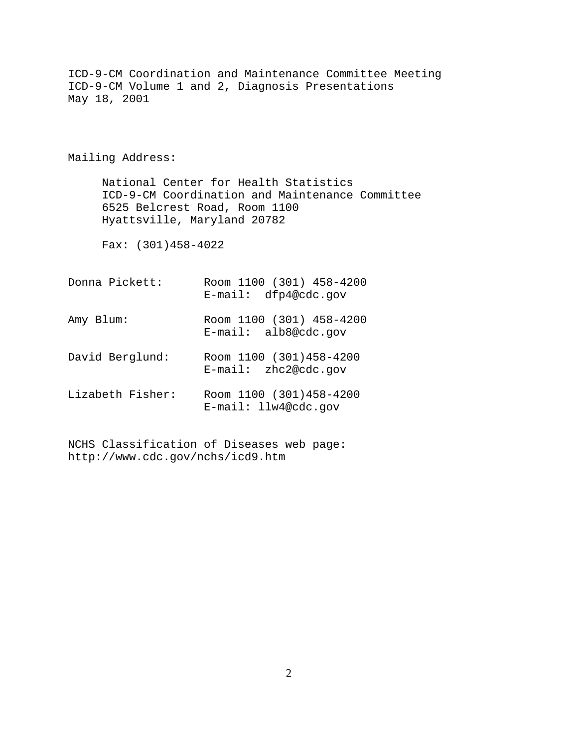ICD-9-CM Coordination and Maintenance Committee Meeting ICD-9-CM Volume 1 and 2, Diagnosis Presentations May 18, 2001 Mailing Address: National Center for Health Statistics ICD-9-CM Coordination and Maintenance Committee 6525 Belcrest Road, Room 1100 Hyattsville, Maryland 20782 Fax: (301)458-4022 Donna Pickett: Room 1100 (301) 458-4200 E-mail: dfp4@cdc.gov Amy Blum: Room 1100 (301) 458-4200 E-mail: alb8@cdc.gov David Berglund: Room 1100 (301)458-4200 E-mail: zhc2@cdc.gov Lizabeth Fisher: Room 1100 (301)458-4200 E-mail: llw4@cdc.gov

NCHS Classification of Diseases web page: http://www.cdc.gov/nchs/icd9.htm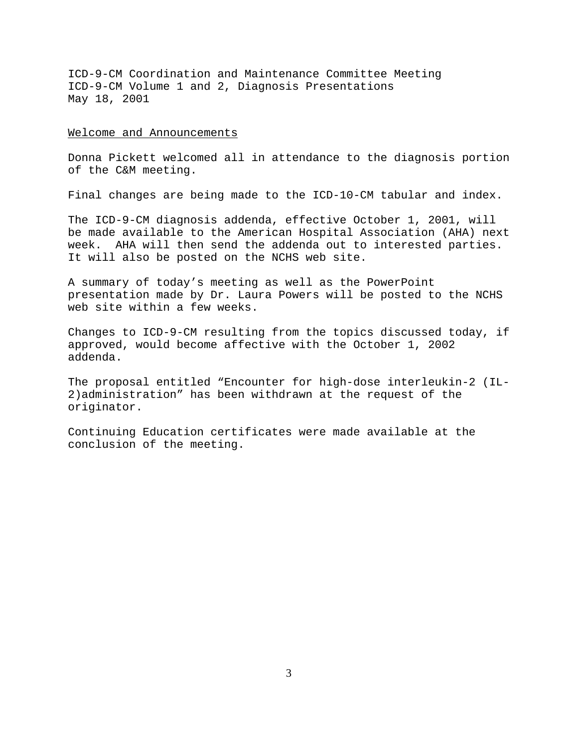#### Welcome and Announcements

Donna Pickett welcomed all in attendance to the diagnosis portion of the C&M meeting.

Final changes are being made to the ICD-10-CM tabular and index.

The ICD-9-CM diagnosis addenda, effective October 1, 2001, will be made available to the American Hospital Association (AHA) next week. AHA will then send the addenda out to interested parties. It will also be posted on the NCHS web site.

A summary of today's meeting as well as the PowerPoint presentation made by Dr. Laura Powers will be posted to the NCHS web site within a few weeks.

Changes to ICD-9-CM resulting from the topics discussed today, if approved, would become affective with the October 1, 2002 addenda.

The proposal entitled "Encounter for high-dose interleukin-2 (IL-2)administration" has been withdrawn at the request of the originator.

Continuing Education certificates were made available at the conclusion of the meeting.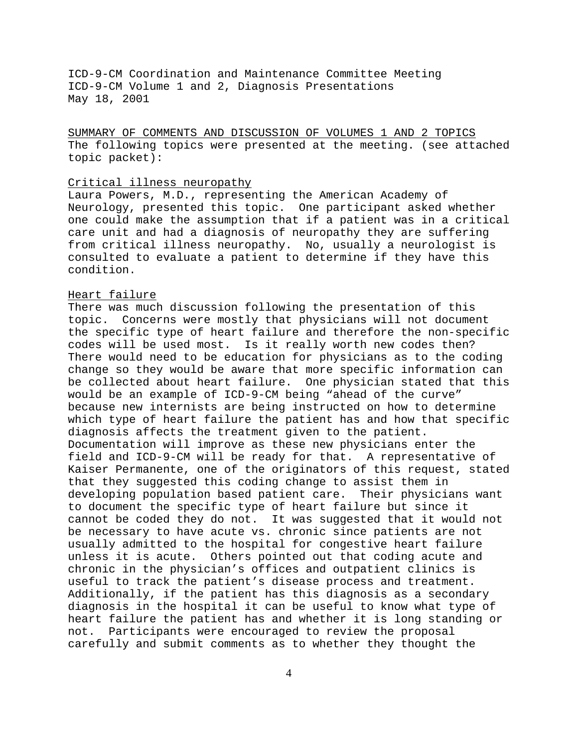SUMMARY OF COMMENTS AND DISCUSSION OF VOLUMES 1 AND 2 TOPICS The following topics were presented at the meeting. (see attached topic packet):

### Critical illness neuropathy

Laura Powers, M.D., representing the American Academy of Neurology, presented this topic. One participant asked whether one could make the assumption that if a patient was in a critical care unit and had a diagnosis of neuropathy they are suffering from critical illness neuropathy. No, usually a neurologist is consulted to evaluate a patient to determine if they have this condition.

# Heart failure

There was much discussion following the presentation of this topic. Concerns were mostly that physicians will not document the specific type of heart failure and therefore the non-specific codes will be used most. Is it really worth new codes then? There would need to be education for physicians as to the coding change so they would be aware that more specific information can be collected about heart failure. One physician stated that this would be an example of ICD-9-CM being "ahead of the curve" because new internists are being instructed on how to determine which type of heart failure the patient has and how that specific diagnosis affects the treatment given to the patient. Documentation will improve as these new physicians enter the field and ICD-9-CM will be ready for that. A representative of Kaiser Permanente, one of the originators of this request, stated that they suggested this coding change to assist them in developing population based patient care. Their physicians want to document the specific type of heart failure but since it cannot be coded they do not. It was suggested that it would not be necessary to have acute vs. chronic since patients are not usually admitted to the hospital for congestive heart failure unless it is acute. Others pointed out that coding acute and chronic in the physician's offices and outpatient clinics is useful to track the patient's disease process and treatment. Additionally, if the patient has this diagnosis as a secondary diagnosis in the hospital it can be useful to know what type of heart failure the patient has and whether it is long standing or not. Participants were encouraged to review the proposal carefully and submit comments as to whether they thought the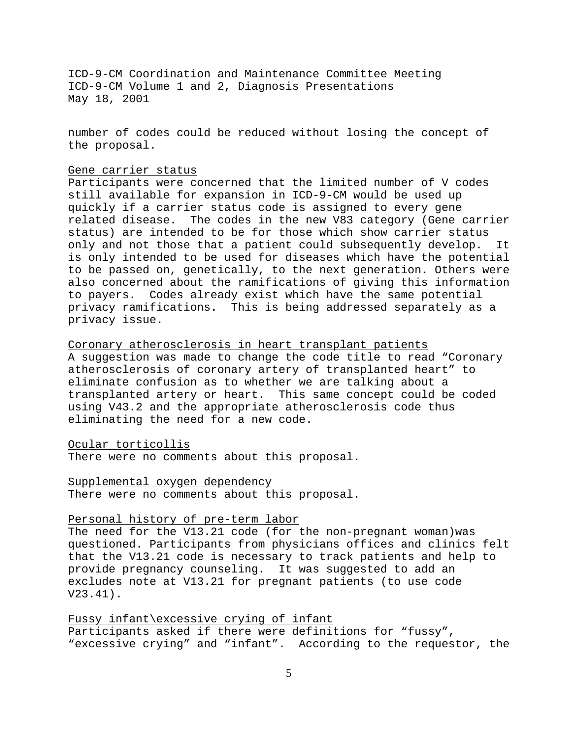number of codes could be reduced without losing the concept of the proposal.

## Gene carrier status

Participants were concerned that the limited number of V codes still available for expansion in ICD-9-CM would be used up quickly if a carrier status code is assigned to every gene related disease. The codes in the new V83 category (Gene carrier status) are intended to be for those which show carrier status only and not those that a patient could subsequently develop. It is only intended to be used for diseases which have the potential to be passed on, genetically, to the next generation. Others were also concerned about the ramifications of giving this information to payers. Codes already exist which have the same potential privacy ramifications. This is being addressed separately as a privacy issue.

Coronary atherosclerosis in heart transplant patients A suggestion was made to change the code title to read "Coronary atherosclerosis of coronary artery of transplanted heart" to eliminate confusion as to whether we are talking about a transplanted artery or heart. This same concept could be coded using V43.2 and the appropriate atherosclerosis code thus eliminating the need for a new code.

#### Ocular torticollis

There were no comments about this proposal.

Supplemental oxygen dependency There were no comments about this proposal.

## Personal history of pre-term labor

The need for the V13.21 code (for the non-pregnant woman)was questioned. Participants from physicians offices and clinics felt that the V13.21 code is necessary to track patients and help to provide pregnancy counseling. It was suggested to add an excludes note at V13.21 for pregnant patients (to use code V23.41).

Fussy infant\excessive crying of infant Participants asked if there were definitions for "fussy", "excessive crying" and "infant". According to the requestor, the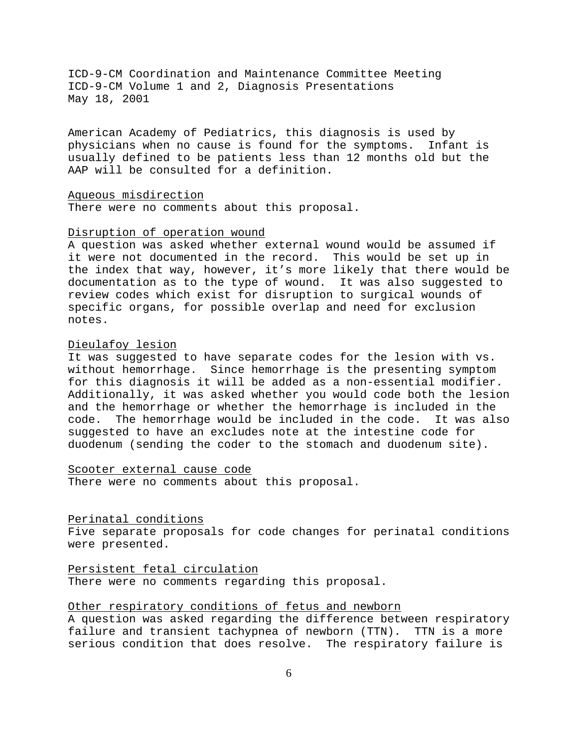American Academy of Pediatrics, this diagnosis is used by physicians when no cause is found for the symptoms. Infant is usually defined to be patients less than 12 months old but the AAP will be consulted for a definition.

Aqueous misdirection

There were no comments about this proposal.

# Disruption of operation wound

A question was asked whether external wound would be assumed if it were not documented in the record. This would be set up in the index that way, however, it's more likely that there would be documentation as to the type of wound. It was also suggested to review codes which exist for disruption to surgical wounds of specific organs, for possible overlap and need for exclusion notes.

### Dieulafoy lesion

It was suggested to have separate codes for the lesion with vs. without hemorrhage. Since hemorrhage is the presenting symptom for this diagnosis it will be added as a non-essential modifier. Additionally, it was asked whether you would code both the lesion and the hemorrhage or whether the hemorrhage is included in the code. The hemorrhage would be included in the code. It was also suggested to have an excludes note at the intestine code for duodenum (sending the coder to the stomach and duodenum site).

Scooter external cause code

There were no comments about this proposal.

### Perinatal conditions

Five separate proposals for code changes for perinatal conditions were presented.

Persistent fetal circulation

There were no comments regarding this proposal.

# Other respiratory conditions of fetus and newborn

A question was asked regarding the difference between respiratory failure and transient tachypnea of newborn (TTN). TTN is a more serious condition that does resolve. The respiratory failure is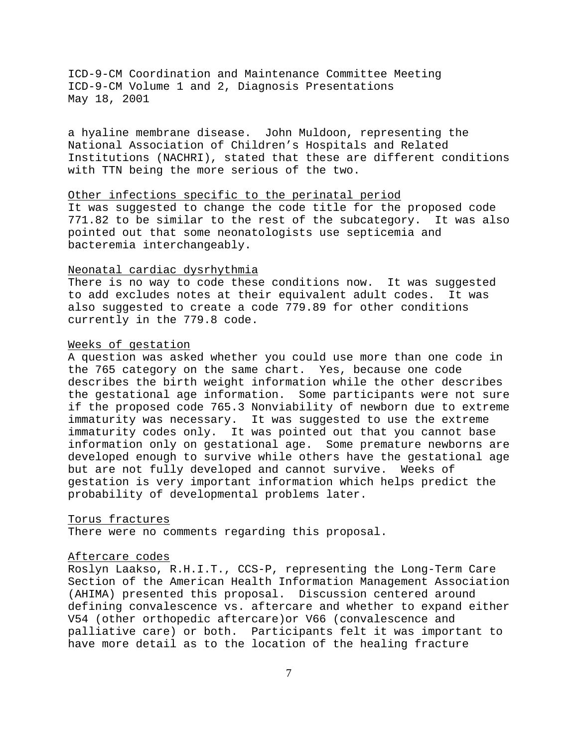a hyaline membrane disease. John Muldoon, representing the National Association of Children's Hospitals and Related Institutions (NACHRI), stated that these are different conditions with TTN being the more serious of the two.

## Other infections specific to the perinatal period

It was suggested to change the code title for the proposed code 771.82 to be similar to the rest of the subcategory. It was also pointed out that some neonatologists use septicemia and bacteremia interchangeably.

# Neonatal cardiac dysrhythmia

There is no way to code these conditions now. It was suggested to add excludes notes at their equivalent adult codes. It was also suggested to create a code 779.89 for other conditions currently in the 779.8 code.

## Weeks of gestation

A question was asked whether you could use more than one code in the 765 category on the same chart. Yes, because one code describes the birth weight information while the other describes the gestational age information. Some participants were not sure if the proposed code 765.3 Nonviability of newborn due to extreme immaturity was necessary. It was suggested to use the extreme immaturity codes only. It was pointed out that you cannot base information only on gestational age. Some premature newborns are developed enough to survive while others have the gestational age but are not fully developed and cannot survive. Weeks of gestation is very important information which helps predict the probability of developmental problems later.

#### Torus fractures

There were no comments regarding this proposal.

### Aftercare codes

Roslyn Laakso, R.H.I.T., CCS-P, representing the Long-Term Care Section of the American Health Information Management Association (AHIMA) presented this proposal. Discussion centered around defining convalescence vs. aftercare and whether to expand either V54 (other orthopedic aftercare)or V66 (convalescence and palliative care) or both. Participants felt it was important to have more detail as to the location of the healing fracture